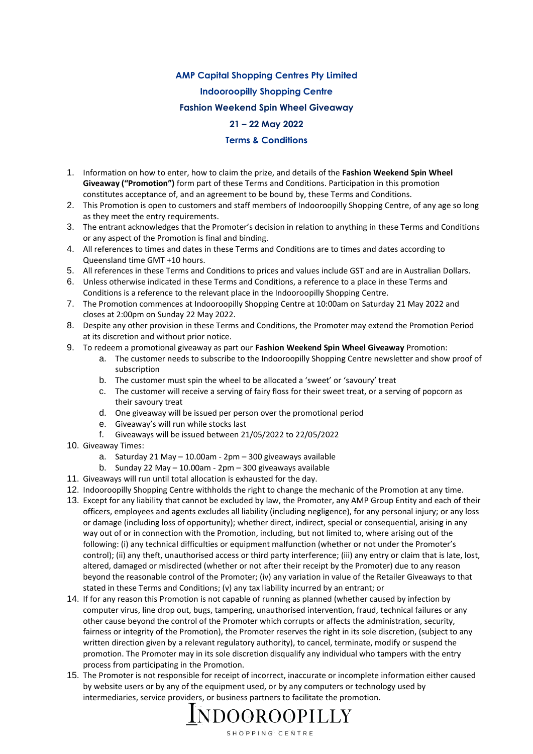## **AMP Capital Shopping Centres Pty Limited**

**Indooroopilly Shopping Centre** 

**Fashion Weekend Spin Wheel Giveaway**

## **21 – 22 May 2022**

## **Terms & Conditions**

- 1. Information on how to enter, how to claim the prize, and details of the **Fashion Weekend Spin Wheel Giveaway ("Promotion")** form part of these Terms and Conditions. Participation in this promotion constitutes acceptance of, and an agreement to be bound by, these Terms and Conditions.
- 2. This Promotion is open to customers and staff members of Indooroopilly Shopping Centre, of any age so long as they meet the entry requirements.
- 3. The entrant acknowledges that the Promoter's decision in relation to anything in these Terms and Conditions or any aspect of the Promotion is final and binding.
- 4. All references to times and dates in these Terms and Conditions are to times and dates according to Queensland time GMT +10 hours.
- 5. All references in these Terms and Conditions to prices and values include GST and are in Australian Dollars.
- 6. Unless otherwise indicated in these Terms and Conditions, a reference to a place in these Terms and Conditions is a reference to the relevant place in the Indooroopilly Shopping Centre.
- 7. The Promotion commences at Indooroopilly Shopping Centre at 10:00am on Saturday 21 May 2022 and closes at 2:00pm on Sunday 22 May 2022.
- 8. Despite any other provision in these Terms and Conditions, the Promoter may extend the Promotion Period at its discretion and without prior notice.
- 9. To redeem a promotional giveaway as part our **Fashion Weekend Spin Wheel Giveaway** Promotion:
	- a. The customer needs to subscribe to the Indooroopilly Shopping Centre newsletter and show proof of subscription
	- b. The customer must spin the wheel to be allocated a 'sweet' or 'savoury' treat
	- c. The customer will receive a serving of fairy floss for their sweet treat, or a serving of popcorn as their savoury treat
	- d. One giveaway will be issued per person over the promotional period
	- e. Giveaway's will run while stocks last
	- f. Giveaways will be issued between 21/05/2022 to 22/05/2022
- 10. Giveaway Times:
	- a. Saturday 21 May 10.00am 2pm 300 giveaways available
	- b. Sunday 22 May 10.00am 2pm 300 giveaways available
- 11. Giveaways will run until total allocation is exhausted for the day.
- 12. Indooroopilly Shopping Centre withholds the right to change the mechanic of the Promotion at any time.
- 13. Except for any liability that cannot be excluded by law, the Promoter, any AMP Group Entity and each of their officers, employees and agents excludes all liability (including negligence), for any personal injury; or any loss or damage (including loss of opportunity); whether direct, indirect, special or consequential, arising in any way out of or in connection with the Promotion, including, but not limited to, where arising out of the following: (i) any technical difficulties or equipment malfunction (whether or not under the Promoter's control); (ii) any theft, unauthorised access or third party interference; (iii) any entry or claim that is late, lost, altered, damaged or misdirected (whether or not after their receipt by the Promoter) due to any reason beyond the reasonable control of the Promoter; (iv) any variation in value of the Retailer Giveaways to that stated in these Terms and Conditions; (v) any tax liability incurred by an entrant; or
- 14. If for any reason this Promotion is not capable of running as planned (whether caused by infection by computer virus, line drop out, bugs, tampering, unauthorised intervention, fraud, technical failures or any other cause beyond the control of the Promoter which corrupts or affects the administration, security, fairness or integrity of the Promotion), the Promoter reserves the right in its sole discretion, (subject to any written direction given by a relevant regulatory authority), to cancel, terminate, modify or suspend the promotion. The Promoter may in its sole discretion disqualify any individual who tampers with the entry process from participating in the Promotion.
- 15. The Promoter is not responsible for receipt of incorrect, inaccurate or incomplete information either caused by website users or by any of the equipment used, or by any computers or technology used by intermediaries, service providers, or business partners to facilitate the promotion.

INDOOROOPILLY SHOPPING CENTRE